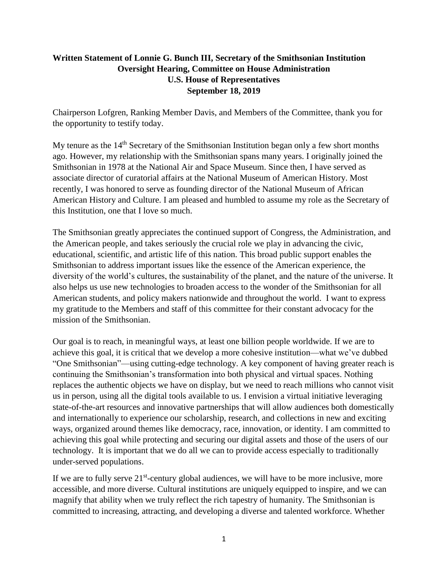## **Written Statement of Lonnie G. Bunch III, Secretary of the Smithsonian Institution Oversight Hearing, Committee on House Administration U.S. House of Representatives September 18, 2019**

Chairperson Lofgren, Ranking Member Davis, and Members of the Committee, thank you for the opportunity to testify today.

My tenure as the 14<sup>th</sup> Secretary of the Smithsonian Institution began only a few short months ago. However, my relationship with the Smithsonian spans many years. I originally joined the Smithsonian in 1978 at the National Air and Space Museum. Since then, I have served as associate director of curatorial affairs at the National Museum of American History. Most recently, I was honored to serve as founding director of the National Museum of African American History and Culture. I am pleased and humbled to assume my role as the Secretary of this Institution, one that I love so much.

The Smithsonian greatly appreciates the continued support of Congress, the Administration, and the American people, and takes seriously the crucial role we play in advancing the civic, educational, scientific, and artistic life of this nation. This broad public support enables the Smithsonian to address important issues like the essence of the American experience, the diversity of the world's cultures, the sustainability of the planet, and the nature of the universe. It also helps us use new technologies to broaden access to the wonder of the Smithsonian for all American students, and policy makers nationwide and throughout the world. I want to express my gratitude to the Members and staff of this committee for their constant advocacy for the mission of the Smithsonian.

Our goal is to reach, in meaningful ways, at least one billion people worldwide. If we are to achieve this goal, it is critical that we develop a more cohesive institution—what we've dubbed "One Smithsonian"—using cutting-edge technology. A key component of having greater reach is continuing the Smithsonian's transformation into both physical and virtual spaces. Nothing replaces the authentic objects we have on display, but we need to reach millions who cannot visit us in person, using all the digital tools available to us. I envision a virtual initiative leveraging state-of-the-art resources and innovative partnerships that will allow audiences both domestically and internationally to experience our scholarship, research, and collections in new and exciting ways, organized around themes like democracy, race, innovation, or identity. I am committed to achieving this goal while protecting and securing our digital assets and those of the users of our technology. It is important that we do all we can to provide access especially to traditionally under-served populations.

If we are to fully serve 21<sup>st</sup>-century global audiences, we will have to be more inclusive, more accessible, and more diverse. Cultural institutions are uniquely equipped to inspire, and we can magnify that ability when we truly reflect the rich tapestry of humanity. The Smithsonian is committed to increasing, attracting, and developing a diverse and talented workforce. Whether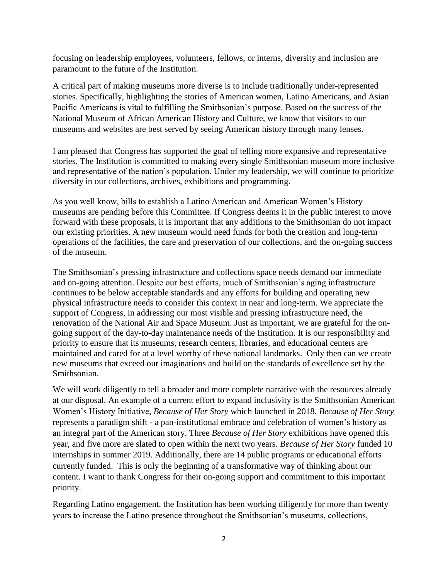focusing on leadership employees, volunteers, fellows, or interns, diversity and inclusion are paramount to the future of the Institution.

A critical part of making museums more diverse is to include traditionally under-represented stories. Specifically, highlighting the stories of American women, Latino Americans, and Asian Pacific Americans is vital to fulfilling the Smithsonian's purpose. Based on the success of the National Museum of African American History and Culture, we know that visitors to our museums and websites are best served by seeing American history through many lenses.

I am pleased that Congress has supported the goal of telling more expansive and representative stories. The Institution is committed to making every single Smithsonian museum more inclusive and representative of the nation's population. Under my leadership, we will continue to prioritize diversity in our collections, archives, exhibitions and programming.

As you well know, bills to establish a Latino American and American Women's History museums are pending before this Committee. If Congress deems it in the public interest to move forward with these proposals, it is important that any additions to the Smithsonian do not impact our existing priorities. A new museum would need funds for both the creation and long-term operations of the facilities, the care and preservation of our collections, and the on-going success of the museum.

The Smithsonian's pressing infrastructure and collections space needs demand our immediate and on-going attention. Despite our best efforts, much of Smithsonian's aging infrastructure continues to be below acceptable standards and any efforts for building and operating new physical infrastructure needs to consider this context in near and long-term. We appreciate the support of Congress, in addressing our most visible and pressing infrastructure need, the renovation of the National Air and Space Museum. Just as important, we are grateful for the ongoing support of the day-to-day maintenance needs of the Institution. It is our responsibility and priority to ensure that its museums, research centers, libraries, and educational centers are maintained and cared for at a level worthy of these national landmarks. Only then can we create new museums that exceed our imaginations and build on the standards of excellence set by the Smithsonian.

We will work diligently to tell a broader and more complete narrative with the resources already at our disposal. An example of a current effort to expand inclusivity is the Smithsonian American Women's History Initiative, *Because of Her Story* which launched in 2018. *Because of Her Story* represents a paradigm shift - a pan-institutional embrace and celebration of women's history as an integral part of the American story. Three *Because of Her Story* exhibitions have opened this year, and five more are slated to open within the next two years. *Because of Her Story* funded 10 internships in summer 2019. Additionally, there are 14 public programs or educational efforts currently funded. This is only the beginning of a transformative way of thinking about our content. I want to thank Congress for their on-going support and commitment to this important priority.

Regarding Latino engagement, the Institution has been working diligently for more than twenty years to increase the Latino presence throughout the Smithsonian's museums, collections,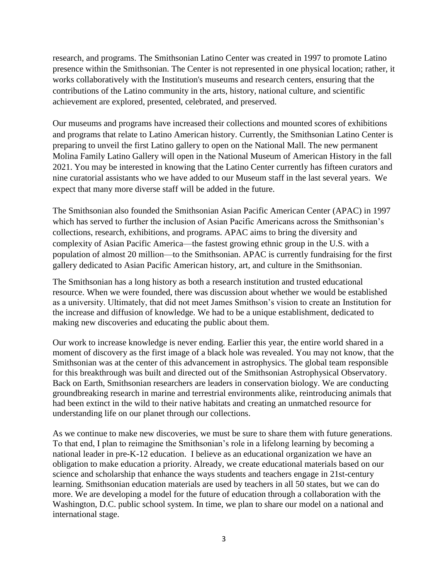research, and programs. The Smithsonian Latino Center was created in 1997 to promote Latino presence within the Smithsonian. The Center is not represented in one physical location; rather, it works collaboratively with the Institution's museums and research centers, ensuring that the contributions of the Latino community in the arts, history, national culture, and scientific achievement are explored, presented, celebrated, and preserved.

Our museums and programs have increased their collections and mounted scores of exhibitions and programs that relate to Latino American history. Currently, the Smithsonian Latino Center is preparing to unveil the first Latino gallery to open on the National Mall. The new permanent Molina Family Latino Gallery will open in the National Museum of American History in the fall 2021. You may be interested in knowing that the Latino Center currently has fifteen curators and nine curatorial assistants who we have added to our Museum staff in the last several years. We expect that many more diverse staff will be added in the future.

The Smithsonian also founded the Smithsonian Asian Pacific American Center (APAC) in 1997 which has served to further the inclusion of Asian Pacific Americans across the Smithsonian's collections, research, exhibitions, and programs. APAC aims to bring the diversity and complexity of Asian Pacific America—the fastest growing ethnic group in the U.S. with a population of almost 20 million—to the Smithsonian. APAC is currently fundraising for the first gallery dedicated to Asian Pacific American history, art, and culture in the Smithsonian.

The Smithsonian has a long history as both a research institution and trusted educational resource. When we were founded, there was discussion about whether we would be established as a university. Ultimately, that did not meet James Smithson's vision to create an Institution for the increase and diffusion of knowledge. We had to be a unique establishment, dedicated to making new discoveries and educating the public about them.

Our work to increase knowledge is never ending. Earlier this year, the entire world shared in a moment of discovery as the first image of a black hole was revealed. You may not know, that the Smithsonian was at the center of this advancement in astrophysics. The global team responsible for this breakthrough was built and directed out of the Smithsonian Astrophysical Observatory. Back on Earth, Smithsonian researchers are leaders in conservation biology. We are conducting groundbreaking research in marine and terrestrial environments alike, reintroducing animals that had been extinct in the wild to their native habitats and creating an unmatched resource for understanding life on our planet through our collections.

As we continue to make new discoveries, we must be sure to share them with future generations. To that end, I plan to reimagine the Smithsonian's role in a lifelong learning by becoming a national leader in pre-K-12 education. I believe as an educational organization we have an obligation to make education a priority. Already, we create educational materials based on our science and scholarship that enhance the ways students and teachers engage in 21st-century learning. Smithsonian education materials are used by teachers in all 50 states, but we can do more. We are developing a model for the future of education through a collaboration with the Washington, D.C. public school system. In time, we plan to share our model on a national and international stage.